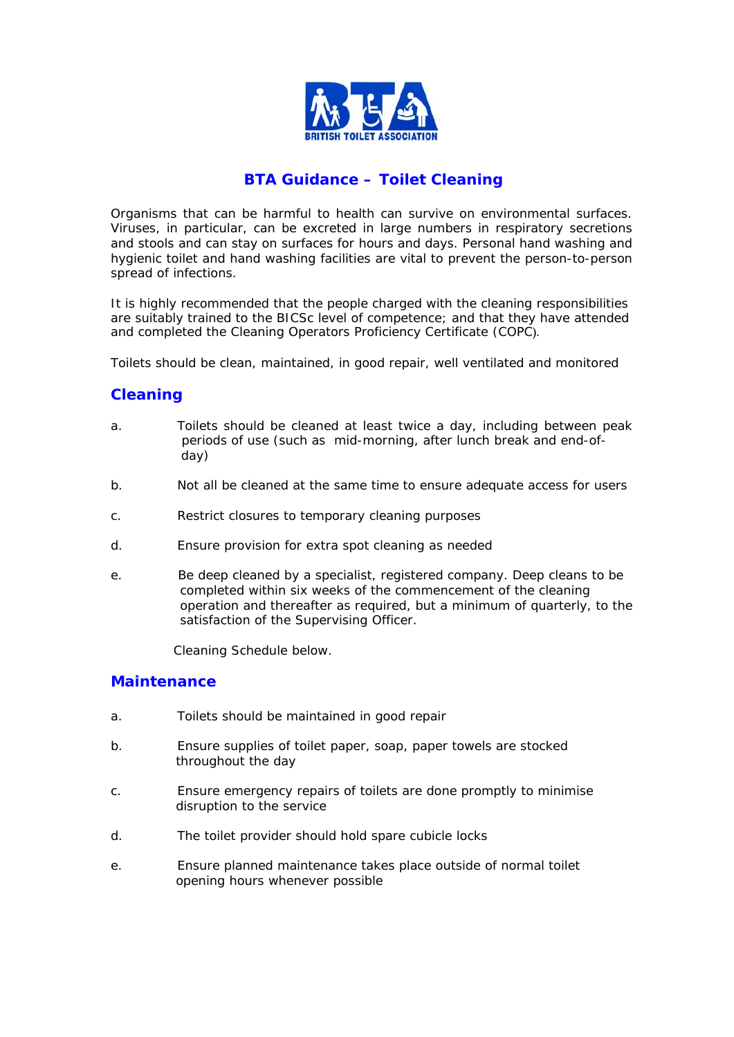

# **BTA Guidance – Toilet Cleaning**

Organisms that can be harmful to health can survive on environmental surfaces. Viruses, in particular, can be excreted in large numbers in respiratory secretions and stools and can stay on surfaces for hours and days. Personal hand washing and hygienic toilet and hand washing facilities are vital to prevent the person-to-person spread of infections.

It is highly recommended that the people charged with the cleaning responsibilities are suitably trained to the BICSc level of competence; and that they have attended and completed the Cleaning Operators Proficiency Certificate (COPC).

Toilets should be clean, maintained, in good repair, well ventilated and monitored

### **Cleaning**

- a. Toilets should be cleaned at least twice a day, including between peak periods of use (such as mid-morning, after lunch break and end-of day)
- b. Not all be cleaned at the same time to ensure adequate access for users
- c. Restrict closures to temporary cleaning purposes
- d. Ensure provision for extra spot cleaning as needed
- e. Be deep cleaned by a specialist, registered company. Deep cleans to be completed within six weeks of the commencement of the cleaning operation and thereafter as required, but a minimum of quarterly, to the satisfaction of the Supervising Officer.

Cleaning Schedule below.

#### **Maintenance**

- a. Toilets should be maintained in good repair
- b. Ensure supplies of toilet paper, soap, paper towels are stocked throughout the day
- c. Ensure emergency repairs of toilets are done promptly to minimise disruption to the service
- d. The toilet provider should hold spare cubicle locks
- e. Ensure planned maintenance takes place outside of normal toilet opening hours whenever possible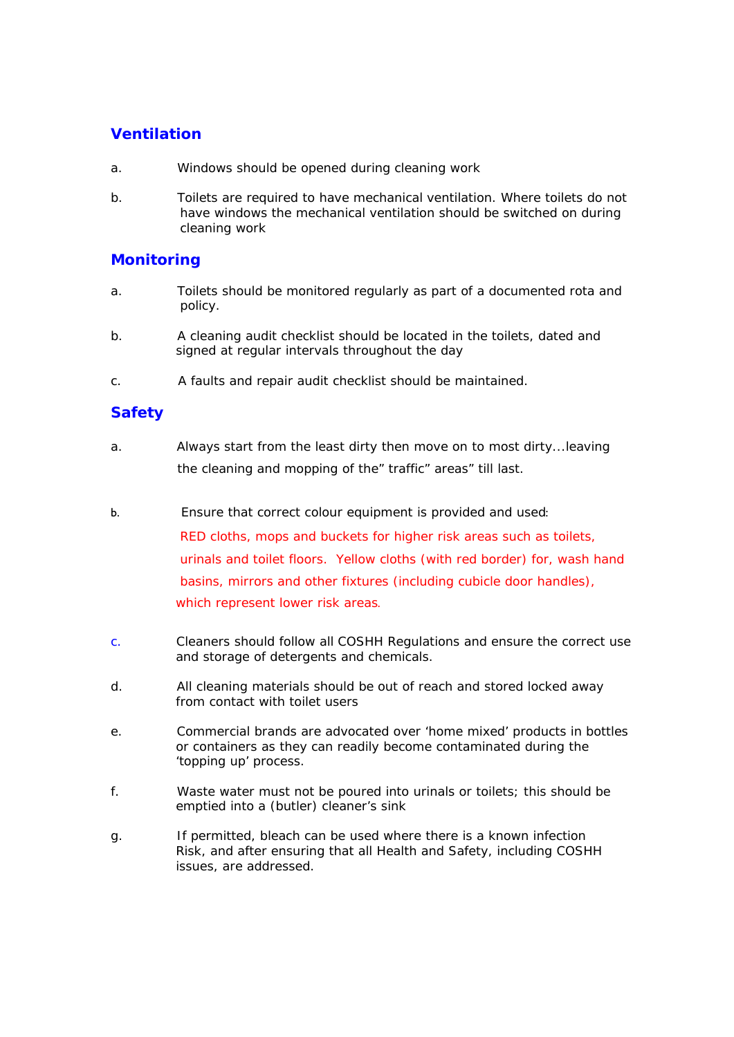## **Ventilation**

- a. Windows should be opened during cleaning work
- b. Toilets are required to have mechanical ventilation. Where toilets do not have windows the mechanical ventilation should be switched on during cleaning work

### **Monitoring**

- a. Toilets should be monitored regularly as part of a documented rota and policy.
- b. A cleaning audit checklist should be located in the toilets, dated and signed at regular intervals throughout the day
- c. A faults and repair audit checklist should be maintained.

## **Safety**

- a. Always start from the least dirty then move on to most dirty...leaving the cleaning and mopping of the" traffic" areas" till last.
- b. Ensure that correct colour equipment is provided and used:

 RED cloths, mops and buckets for higher risk areas such as toilets, urinals and toilet floors. Yellow cloths (with red border) for, wash hand basins, mirrors and other fixtures (including cubicle door handles), which represent lower risk areas.

- c. Cleaners should follow all COSHH Regulations and ensure the correct use and storage of detergents and chemicals.
- d. All cleaning materials should be out of reach and stored locked away from contact with toilet users
- e. Commercial brands are advocated over 'home mixed' products in bottles or containers as they can readily become contaminated during the 'topping up' process.
- f. Waste water must not be poured into urinals or toilets; this should be emptied into a (butler) cleaner's sink
- g. If permitted, bleach can be used where there is a known infection Risk, and after ensuring that all Health and Safety, including COSHH issues, are addressed.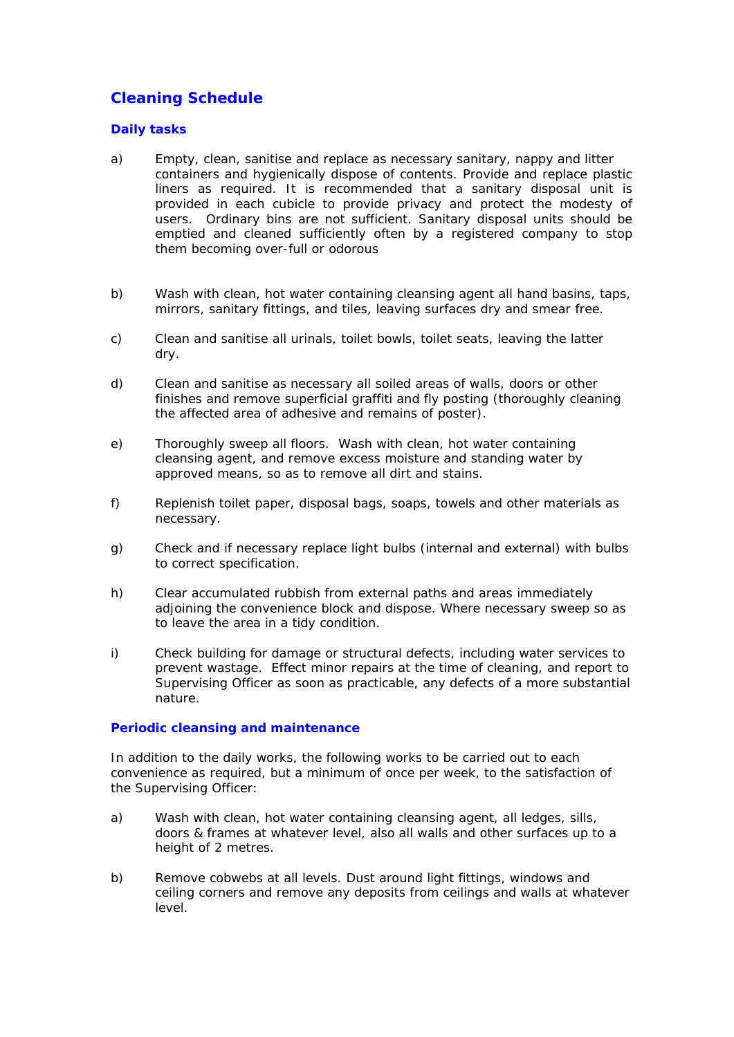# **Cleaning Schedule**

#### *Daily tasks*

- a) Empty, clean, sanitise and replace as necessary sanitary, nappy and litter containers and hygienically dispose of contents. Provide and replace plastic liners as required. It is recommended that a sanitary disposal unit is provided in each cubicle to provide privacy and protect the modesty of users. Ordinary bins are not sufficient. Sanitary disposal units should be emptied and cleaned sufficiently often by a registered company to stop them becoming over-full or odorous
- b) Wash with clean, hot water containing cleansing agent all hand basins, taps, mirrors, sanitary fittings, and tiles, leaving surfaces dry and smear free.
- c) Clean and sanitise all urinals, toilet bowls, toilet seats, leaving the latter dry.
- d) Clean and sanitise as necessary all soiled areas of walls, doors or other finishes and remove superficial graffiti and fly posting (thoroughly cleaning the affected area of adhesive and remains of poster).
- e) Thoroughly sweep all floors. Wash with clean, hot water containing cleansing agent, and remove excess moisture and standing water by approved means, so as to remove all dirt and stains.
- f) Replenish toilet paper, disposal bags, soaps, towels and other materials as necessary.
- g) Check and if necessary replace light bulbs (internal and external) with bulbs to correct specification.
- h) Clear accumulated rubbish from external paths and areas immediately adjoining the convenience block and dispose. Where necessary sweep so as to leave the area in a tidy condition.
- i) Check building for damage or structural defects, including water services to prevent wastage. Effect minor repairs at the time of cleaning, and report to Supervising Officer as soon as practicable, any defects of a more substantial nature.

#### *Periodic cleansing and maintenance*

In addition to the daily works, the following works to be carried out to each convenience as required, but a minimum of once per week, to the satisfaction of the Supervising Officer:

- a) Wash with clean, hot water containing cleansing agent, all ledges, sills, doors & frames at whatever level, also all walls and other surfaces up to a height of 2 metres.
- b) Remove cobwebs at all levels. Dust around light fittings, windows and ceiling corners and remove any deposits from ceilings and walls at whatever level.